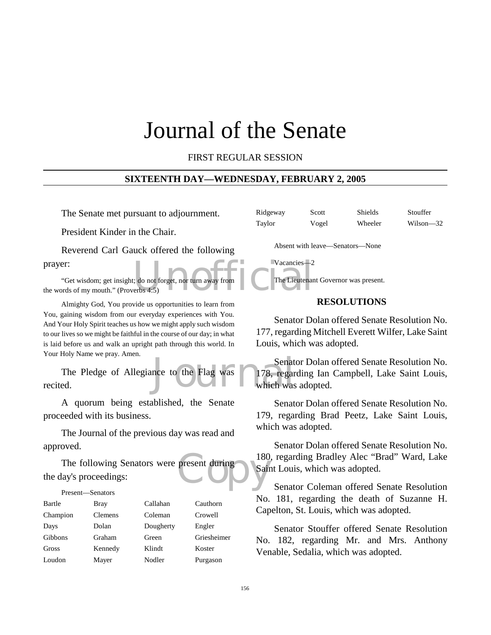# Journal of the Senate

FIRST REGULAR SESSION

#### **SIXTEENTH DAY—WEDNESDAY, FEBRUARY 2, 2005**

The Senate met pursuant to adjournment.

President Kinder in the Chair.

Reverend Carl Gauck offered the following prayer:

Vacancies—2<br>
(: do not forget, nor turn away from<br>
The Lieutenar<br>
The Lieutenar "Get wisdom; get insight; do not forget, nor turn away from the words of my mouth." (Proverbs 4:5)

Almighty God, You provide us opportunities to learn from You, gaining wisdom from our everyday experiences with You. And Your Holy Spirit teaches us how we might apply such wisdom to our lives so we might be faithful in the course of our day; in what is laid before us and walk an upright path through this world. In Your Holy Name we pray. Amen.

Senat<br>nce to the Flag was<br>which was<br>which was The Pledge of Allegiance to the Flag was recited.

A quorum being established, the Senate proceeded with its business.

The Journal of the previous day was read and approved.

present during 180 The following Senators were present during the day's proceedings:

|          | Present—Senators |           |             |
|----------|------------------|-----------|-------------|
| Bartle   | Bray             | Callahan  | Cauthorn    |
| Champion | Clemens          | Coleman   | Crowell     |
| Days     | Dolan            | Dougherty | Engler      |
| Gibbons  | Graham           | Green     | Griesheimer |
| Gross    | Kennedy          | Klindt    | Koster      |
| Loudon   | Mayer            | Nodler    | Purgason    |

| Ridgeway | Scott | Shields | Stouffer     |
|----------|-------|---------|--------------|
| Taylor   | Vogel | Wheeler | Wilson $-32$ |

Absent with leave—Senators—None

Vacancies—2 The Lieutenant Governor was present.

# **RESOLUTIONS**

Senator Dolan offered Senate Resolution No. 177, regarding Mitchell Everett Wilfer, Lake Saint Louis, which was adopted.

Senator Dolan offered Senate Resolution No. 178, regarding Ian Campbell, Lake Saint Louis, which was adopted.

Senator Dolan offered Senate Resolution No. 179, regarding Brad Peetz, Lake Saint Louis, which was adopted.

Senator Dolan offered Senate Resolution No. 180, regarding Bradley Alec "Brad" Ward, Lake Saint Louis, which was adopted.

Senator Coleman offered Senate Resolution No. 181, regarding the death of Suzanne H. Capelton, St. Louis, which was adopted.

Senator Stouffer offered Senate Resolution No. 182, regarding Mr. and Mrs. Anthony Venable, Sedalia, which was adopted.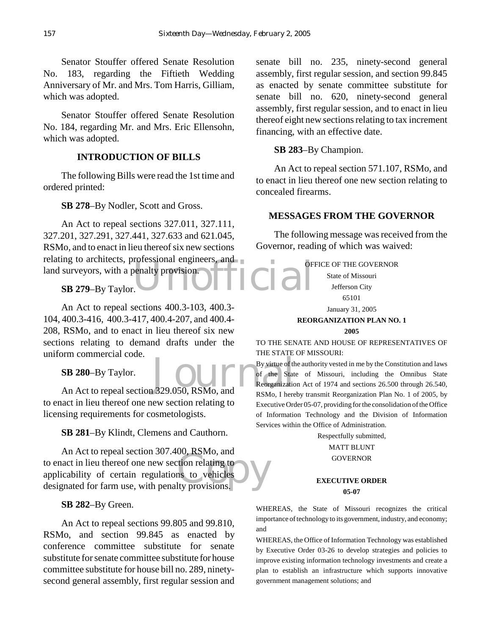Senator Stouffer offered Senate Resolution No. 183, regarding the Fiftieth Wedding Anniversary of Mr. and Mrs. Tom Harris, Gilliam, which was adopted.

Senator Stouffer offered Senate Resolution No. 184, regarding Mr. and Mrs. Eric Ellensohn, which was adopted.

# **INTRODUCTION OF BILLS**

The following Bills were read the 1st time and ordered printed:

**SB 278**–By Nodler, Scott and Gross.

relating to architects, professional engineers, and<br>land surveyors, with a penalty provision.<br>SB 279–By Taylor. An Act to repeal sections 327.011, 327.111, 327.201, 327.291, 327.441, 327.633 and 621.045, RSMo, and to enact in lieu thereof six new sections land surveyors, with a penalty provision.

**SB 279**–By Taylor.

An Act to repeal sections 400.3-103, 400.3- 104, 400.3-416, 400.3-417, 400.4-207, and 400.4- 208, RSMo, and to enact in lieu thereof six new sections relating to demand drafts under the uniform commercial code.

**SB 280**–By Taylor.

SB 280-By Taylor.<br>
An Act to repeal section 329.050, RSMo, and<br>
Reorganization 329.050, RSMo, and to enact in lieu thereof one new section relating to licensing requirements for cosmetologists.

**SB 281**–By Klindt, Clemens and Cauthorn.

bo, KSMO, and<br>tion relating to<br>ns to vehicles An Act to repeal section 307.400, RSMo, and to enact in lieu thereof one new section relating to applicability of certain regulations to vehicles designated for farm use, with penalty provisions.

## **SB 282**–By Green.

An Act to repeal sections 99.805 and 99.810, RSMo, and section 99.845 as enacted by conference committee substitute for senate substitute for senate committee substitute for house committee substitute for house bill no. 289, ninetysecond general assembly, first regular session and senate bill no. 235, ninety-second general assembly, first regular session, and section 99.845 as enacted by senate committee substitute for senate bill no. 620, ninety-second general assembly, first regular session, and to enact in lieu thereof eight new sections relating to tax increment financing, with an effective date.

# **SB 283**–By Champion.

An Act to repeal section 571.107, RSMo, and to enact in lieu thereof one new section relating to concealed firearms.

# **MESSAGES FROM THE GOVERNOR**

The following message was received from the Governor, reading of which was waived:

OFFICE OF THE GOVERNOR

State of Missouri Jefferson City 65101

# January 31, 2005

# **REORGANIZATION PLAN NO. 1**

**2005**

TO THE SENATE AND HOUSE OF REPRESENTATIVES OF THE STATE OF MISSOURI:

By virtue of the authority vested in me by the Constitution and laws of the State of Missouri, including the Omnibus State Reorganization Act of 1974 and sections 26.500 through 26.540, RSMo, I hereby transmit Reorganization Plan No. 1 of 2005, by Executive Order 05-07, providing for the consolidation of the Office of Information Technology and the Division of Information Services within the Office of Administration.

Respectfully submitted,

#### MATT BLUNT **GOVERNOR**

#### **EXECUTIVE ORDER 05-07**

WHEREAS, the State of Missouri recognizes the critical importance of technology to its government, industry, and economy; and

WHEREAS, the Office of Information Technology was established by Executive Order 03-26 to develop strategies and policies to improve existing information technology investments and create a plan to establish an infrastructure which supports innovative government management solutions; and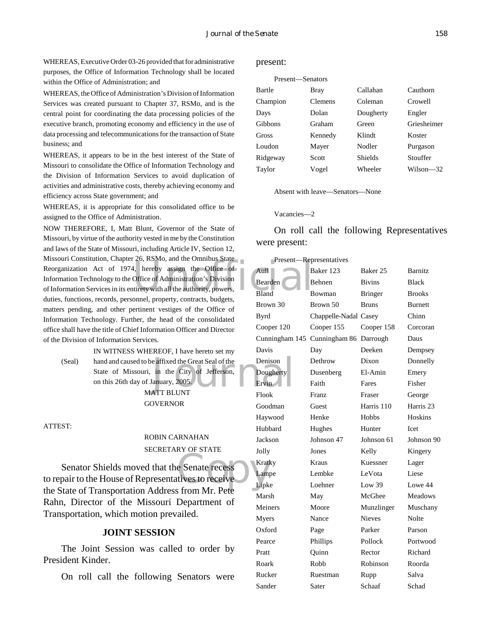WHEREAS, Executive Order 03-26 provided that for administrative purposes, the Office of Information Technology shall be located within the Office of Administration; and

WHEREAS, the Office of Administration's Division of Information Services was created pursuant to Chapter 37, RSMo, and is the central point for coordinating the data processing policies of the executive branch, promoting economy and efficiency in the use of data processing and telecommunications for the transaction of State business; and

WHEREAS, it appears to be in the best interest of the State of Missouri to consolidate the Office of Information Technology and the Division of Information Services to avoid duplication of activities and administrative costs, thereby achieving economy and efficiency across State government; and

WHEREAS, it is appropriate for this consolidated office to be assigned to the Office of Administration.

26, KSMO, and the Office of<br>
4, hereby assign the Office of<br>
Office of Administration's Division<br>
United with all the authority, powers,<br>
Bland<br>
Bland<br>
Bland<br>
B NOW THEREFORE, I, Matt Blunt, Governor of the State of Missouri, by virtue of the authority vested in me by the Constitution and laws of the State of Missouri, including Article IV, Section 12, Missouri Constitution, Chapter 26, RSMo, and the Omnibus State Reorganization Act of 1974, hereby assign the Office of Information Technology to the Office of Administration's Division of Information Services in its entirety with all the authority, powers, duties, functions, records, personnel, property, contracts, budgets, matters pending, and other pertinent vestiges of the Office of Information Technology. Further, the head of the consolidated office shall have the title of Chief Information Officer and Director of the Division of Information Services.

(Seal) hand and caused to be affixed the Great Seal of the Denison<br>
State of Missouri, in the City of Jefferson, Dougherty<br>
on this 26th day of January, 2005.<br>
MATT BLUNT IN WITNESS WHEREOF, I have hereto set my State of Missouri, in the City of Jefferson, on this 26th day of January, 2005.

MATT BLUNT GOVERNOR

ATTEST:

# ROBIN CARNAHAN SECRETARY OF STATE

e Senate recess Senator Shields moved that the Senate recess to repair to the House of Representatives to receive the State of Transportation Address from Mr. Pete Rahn, Director of the Missouri Department of Transportation, which motion prevailed.

#### **JOINT SESSION**

The Joint Session was called to order by President Kinder.

On roll call the following Senators were

#### present:

#### Present—Senators

| Bartle         | Bray    | Callahan       | Cauthorn    |
|----------------|---------|----------------|-------------|
| Champion       | Clemens | Coleman        | Crowell     |
| Days           | Dolan   | Dougherty      | Engler      |
| <b>Gibbons</b> | Graham  | Green          | Griesheimer |
| Gross          | Kennedy | Klindt         | Koster      |
| Loudon         | Mayer   | Nodler         | Purgason    |
| Ridgeway       | Scott   | <b>Shields</b> | Stouffer    |
| Taylor         | Vogel   | Wheeler        | Wilson—32   |
|                |         |                |             |

Absent with leave—Senators—None

#### Vacancies—2

On roll call the following Representatives were present:

|                | Present-Representatives |                     |                      |
|----------------|-------------------------|---------------------|----------------------|
| Aull-          | Baker 123               | Baker <sub>25</sub> | <b>Barnitz</b>       |
| Bearden        | <b>Behnen</b>           | <b>Bivins</b>       | <b>Black</b>         |
| Bland          | Bowman                  | <b>Bringer</b>      | <b>Brooks</b>        |
| Brown 30       | Brown 50                | <b>Bruns</b>        | <b>Burnett</b>       |
| <b>Byrd</b>    | Chappelle-Nadal Casey   |                     | Chinn                |
| Cooper 120     | Cooper 155              | Cooper 158          | Corcoran             |
| Cunningham 145 | Cunningham 86           | Darrough            | Daus                 |
| Davis          | Day                     | Deeken              | Dempsey              |
| Denison        | Dethrow                 | Dixon               | Donnelly             |
| Dougherty      | Dusenberg               | El-Amin             | Emery                |
| Ervin          | Faith                   | Fares               | Fisher               |
| Flook          | Franz                   | Fraser              | George               |
| Goodman        | Guest                   | Harris 110          | Harris <sub>23</sub> |
| Haywood        | Henke                   | Hobbs               | Hoskins              |
| Hubbard        | Hughes                  | Hunter              | <b>I</b> cet         |
| Jackson        | Johnson 47              | Johnson 61          | Johnson 90           |
| Jolly          | Jones                   | Kelly               | Kingery              |
| Kratky         | Kraus                   | Kuessner            | Lager                |
| Lampe          | Lembke                  | LeVota              | Liese                |
| Lipke          | Loehner                 | Low 39              | Lowe 44              |
| Marsh          | May                     | McGhee              | Meadows              |
| Meiners        | Moore                   | Munzlinger          | Muschany             |
| Myers          | Nance                   | <b>Nieves</b>       | Nolte                |
| Oxford         | Page                    | Parker              | Parson               |
| Pearce         | Phillips                | Pollock             | Portwood             |
| Pratt          | Quinn                   | Rector              | Richard              |
| Roark          | Robb                    | Robinson            | Roorda               |
| Rucker         | Ruestman                | Rupp                | Salva                |
| Sander         | Sater                   | Schaaf              | Schad                |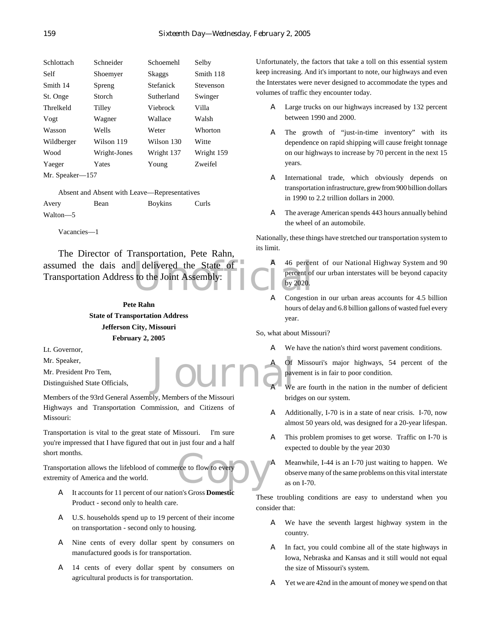| Schlottach      | Schneider    | Schoemehl  | Selby      |
|-----------------|--------------|------------|------------|
| Self            | Shoemyer     | Skaggs     | Smith 118  |
| Smith 14        | Spreng       | Stefanick  | Stevenson  |
| St. Onge        | Storch       | Sutherland | Swinger    |
| Threlkeld       | Tilley       | Viehrock   | Villa      |
| Vogt            | Wagner       | Wallace    | Walsh      |
| Wasson          | Wells        | Weter      | Whorton    |
| Wildberger      | Wilson 119   | Wilson 130 | Witte      |
| Wood            | Wright-Jones | Wright 137 | Wright 159 |
| Yaeger          | Yates        | Young      | Zweifel    |
| Mr. Speaker—157 |              |            |            |

Absent and Absent with Leave—Representatives Avery Bean Boykins Curls Walton—5

Vacancies—1

assumed the dais and delivered the State of a the server of Transportation Address to the Joint Assembly: The Director of Transportation, Pete Rahn, Transportation Address to the Joint Assembly:

# **Pete Rahn State of Transportation Address Jefferson City, Missouri February 2, 2005**

Lt. Governor,

Mr. Speaker,

Mr. President Pro Tem,

Distinguished State Officials,

Members of the 93rd General Assembly, Members of the Missouri Highways and Transportation Commission, and Citizens of Missouri:

Transportation is vital to the great state of Missouri. I'm sure you're impressed that I have figured that out in just four and a half short months.

rce to flow to every Transportation allows the lifeblood of commerce to flow to every extremity of America and the world.

- A It accounts for 11 percent of our nation's Gross **Domestic** Product - second only to health care.
- A U.S. households spend up to 19 percent of their income on transportation - second only to housing.
- A Nine cents of every dollar spent by consumers on manufactured goods is for transportation.
- A 14 cents of every dollar spent by consumers on agricultural products is for transportation.

Unfortunately, the factors that take a toll on this essential system keep increasing. And it's important to note, our highways and even the Interstates were never designed to accommodate the types and volumes of traffic they encounter today.

- A Large trucks on our highways increased by 132 percent between 1990 and 2000.
- A The growth of "just-in-time inventory" with its dependence on rapid shipping will cause freight tonnage on our highways to increase by 70 percent in the next 15 years.
- A International trade, which obviously depends on transportation infrastructure, grew from 900 billion dollars in 1990 to 2.2 trillion dollars in 2000.
- A The average American spends 443 hours annually behind the wheel of an automobile.

Nationally, these things have stretched our transportation system to its limit.

- A 46 percent of our National Highway System and 90 percent of our urban interstates will be beyond capacity by 2020.
- A Congestion in our urban areas accounts for 4.5 billion hours of delay and 6.8 billion gallons of wasted fuel every year.

So, what about Missouri?

- A We have the nation's third worst pavement conditions.
- Journa<sup>d Det</sup> A Of Missouri's major highways, 54 percent of the pavement is in fair to poor condition.
	- We are fourth in the nation in the number of deficient bridges on our system.
	- A Additionally, I-70 is in a state of near crisis. I-70, now almost 50 years old, was designed for a 20-year lifespan.
	- A This problem promises to get worse. Traffic on I-70 is expected to double by the year 2030
	- A Meanwhile, I-44 is an I-70 just waiting to happen. We observe many of the same problems on this vital interstate as on I-70.

These troubling conditions are easy to understand when you consider that:

- A We have the seventh largest highway system in the country.
- A In fact, you could combine all of the state highways in Iowa, Nebraska and Kansas and it still would not equal the size of Missouri's system.
- A Yet we are 42nd in the amount of money we spend on that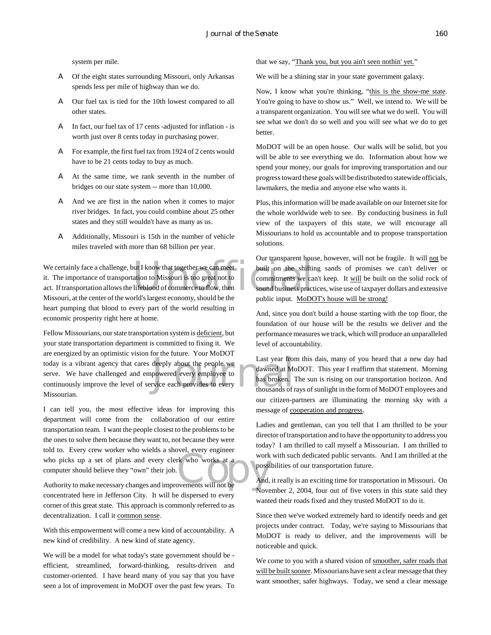system per mile.

- A Of the eight states surrounding Missouri, only Arkansas spends less per mile of highway than we do.
- A Our fuel tax is tied for the 10th lowest compared to all other states.
- A In fact, our fuel tax of 17 cents -adjusted for inflation is worth just over 8 cents today in purchasing power.
- A For example, the first fuel tax from 1924 of 2 cents would have to be 21 cents today to buy as much.
- A At the same time, we rank seventh in the number of bridges on our state system -- more than 10,000.
- A And we are first in the nation when it comes to major river bridges. In fact, you could combine about 25 other states and they still wouldn't have as many as us.
- A Additionally, Missouri is 15th in the number of vehicle miles traveled with more than 68 billion per year.

We certainly face a challenge, but I know that together we can meet<br>
it. The importance of transportation to Missouri is too great not to<br>
act. If transportation allows the lifeblood of commerce to flow, then<br>
Missouri at it. The importance of transportation to Missouri is too great not to act. If transportation allows the lifeblood of commerce to flow, then Missouri, at the center of the world's largest economy, should be the heart pumping that blood to every part of the world resulting in economic prosperity right here at home.

Last year from<br>
deeply about the people we<br>
powered every employee to<br>
vice each provides to every<br>
thousands of r<br>
thousands of r Fellow Missourians, our state transportation system is deficient, but your state transportation department is committed to fixing it. We are energized by an optimistic vision for the future. Your MoDOT today is a vibrant agency that cares deeply about the people we serve. We have challenged and empowered every employee to continuously improve the level of service each provides to every Missourian.

who picks up a set of plans and every clerk who works at a<br>computer should believe they "own" their job.<br>Authority to make necessary changes and improvements will not be I can tell you, the most effective ideas for improving this department will come from the collaboration of our entire transportation team. I want the people closest to the problems to be the ones to solve them because they want to, not because they were told to. Every crew worker who wields a shovel, every engineer who picks up a set of plans and every clerk who works at a computer should believe they "own" their job.

concentrated here in Jefferson City. It will be dispersed to every corner of this great state. This approach is commonly referred to as decentralization. I call it common sense.

With this empowerment will come a new kind of accountability. A new kind of credibility. A new kind of state agency.

We will be a model for what today's state government should be efficient, streamlined, forward-thinking, results-driven and customer-oriented. I have heard many of you say that you have seen a lot of improvement in MoDOT over the past few years. To

that we say, "Thank you, but you ain't seen nothin' yet."

We will be a shining star in your state government galaxy.

Now, I know what you're thinking, "this is the show-me state. You're going to have to show us." Well, we intend to. We will be a transparent organization. You will see what we do well. You will see what we don't do so well and you will see what we do to get better.

MoDOT will be an open house. Our walls will be solid, but you will be able to see everything we do. Information about how we spend your money, our goals for improving transportation and our progress toward these goals will be distributed to statewide officials, lawmakers, the media and anyone else who wants it.

Plus, this information will be made available on our Internet site for the whole worldwide web to see. By conducting business in full view of the taxpayers of this state, we will encourage all Missourians to hold us accountable and to propose transportation solutions.

Our transparent house, however, will not be fragile. It will not be built on the shifting sands of promises we can't deliver or commitments we can't keep. It will be built on the solid rock of sound business practices, wise use of taxpayer dollars and extensive public input. MoDOT's house will be strong!

And, since you don't build a house starting with the top floor, the foundation of our house will be the results we deliver and the performance measures we track, which will produce an unparalleled level of accountability.

Last year from this dais, many of you heard that a new day had dawned at MoDOT. This year I reaffirm that statement. Morning has broken. The sun is rising on our transportation horizon. And thousands of rays of sunlight in the form of MoDOT employees and our citizen-partners are illuminating the morning sky with a message of cooperation and progress.

Ladies and gentleman, can you tell that I am thrilled to be your director of transportation and to have the opportunity to address you today? I am thrilled to call myself a Missourian. I am thrilled to work with such dedicated public servants. And I am thrilled at the possibilities of our transportation future.

And, it really is an exciting time for transportation in Missouri. On November 2, 2004, four out of five voters in this state said they wanted their roads fixed and they trusted MoDOT to do it.

Since then we've worked extremely hard to identify needs and get projects under contract. Today, we're saying to Missourians that MoDOT is ready to deliver, and the improvements will be noticeable and quick.

We come to you with a shared vision of smoother, safer roads that will be built sooner. Missourians have sent a clear message that they want smoother, safer highways. Today, we send a clear message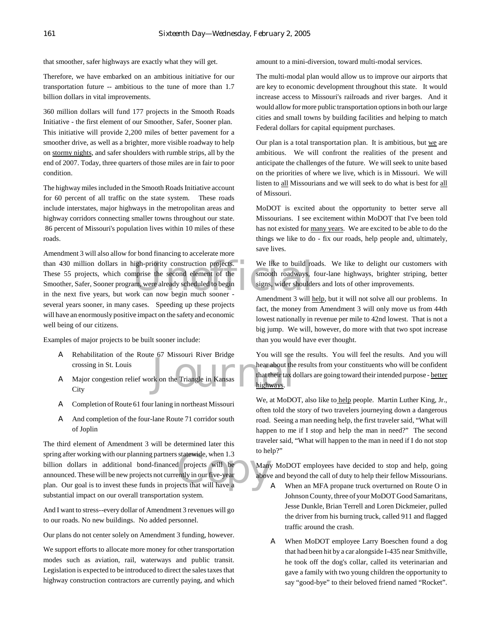that smoother, safer highways are exactly what they will get.

Therefore, we have embarked on an ambitious initiative for our transportation future -- ambitious to the tune of more than 1.7 billion dollars in vital improvements.

360 million dollars will fund 177 projects in the Smooth Roads Initiative - the first element of our Smoother, Safer, Sooner plan. This initiative will provide 2,200 miles of better pavement for a smoother drive, as well as a brighter, more visible roadway to help on stormy nights, and safer shoulders with rumble strips, all by the end of 2007. Today, three quarters of those miles are in fair to poor condition.

The highway miles included in the Smooth Roads Initiative account for 60 percent of all traffic on the state system. These roads include interstates, major highways in the metropolitan areas and highway corridors connecting smaller towns throughout our state. 86 percent of Missouri's population lives within 10 miles of these roads.

than 430 million dollars in high-priority construction projects. We like to build ro<br>
These 55 projects, which comprise the second element of the Smooth roadways,<br>
Smoother, Safer, Sooner program, were already scheduled to Amendment 3 will also allow for bond financing to accelerate more These 55 projects, which comprise the second element of the Smoother, Safer, Sooner program, were already scheduled to begin in the next five years, but work can now begin much sooner several years sooner, in many cases. Speeding up these projects will have an enormously positive impact on the safety and economic well being of our citizens.

Examples of major projects to be built sooner include:

- A Rehabilitation of the Route 67 Missouri River Bridge crossing in St. Louis
- hear about the<br>the Triangle in Kansas<br>highways. A Major congestion relief work on the Triangle in Kansas **City**
- A Completion of Route 61 four laning in northeast Missouri
- A And completion of the four-lane Route 71 corridor south of Joplin

spring after working with our planning partners statewide, when 1.3<br>
billion dollars in additional bond-financed projects will be<br>
announced. These will be new projects not currently in our five-year<br>
plan. Our goal is to The third element of Amendment 3 will be determined later this spring after working with our planning partners statewide, when 1.3 billion dollars in additional bond-financed projects will be announced. These will be new projects not currently in our five-year substantial impact on our overall transportation system.

And I want to stress--every dollar of Amendment 3 revenues will go to our roads. No new buildings. No added personnel.

Our plans do not center solely on Amendment 3 funding, however.

We support efforts to allocate more money for other transportation modes such as aviation, rail, waterways and public transit. Legislation is expected to be introduced to direct the sales taxes that highway construction contractors are currently paying, and which

amount to a mini-diversion, toward multi-modal services.

The multi-modal plan would allow us to improve our airports that are key to economic development throughout this state. It would increase access to Missouri's railroads and river barges. And it would allow for more public transportation options in both our large cities and small towns by building facilities and helping to match Federal dollars for capital equipment purchases.

Our plan is a total transportation plan. It is ambitious, but we are ambitious. We will confront the realities of the present and anticipate the challenges of the future. We will seek to unite based on the priorities of where we live, which is in Missouri. We will listen to all Missourians and we will seek to do what is best for all of Missouri.

MoDOT is excited about the opportunity to better serve all Missourians. I see excitement within MoDOT that I've been told has not existed for many years. We are excited to be able to do the things we like to do - fix our roads, help people and, ultimately, save lives.

We like to build roads. We like to delight our customers with smooth roadways, four-lane highways, brighter striping, better signs, wider shoulders and lots of other improvements.

Amendment 3 will help, but it will not solve all our problems. In fact, the money from Amendment 3 will only move us from 44th lowest nationally in revenue per mile to 42nd lowest. That is not a big jump. We will, however, do more with that two spot increase than you would have ever thought.

You will see the results. You will feel the results. And you will hear about the results from your constituents who will be confident that their tax dollars are going toward their intended purpose - better highways.

We, at MoDOT, also like to help people. Martin Luther King, Jr., often told the story of two travelers journeying down a dangerous road. Seeing a man needing help, the first traveler said, "What will happen to me if I stop and help the man in need?" The second traveler said, "What will happen to the man in need if I do not stop to help?"

Many MoDOT employees have decided to stop and help, going above and beyond the call of duty to help their fellow Missourians.

- A When an MFA propane truck overturned on Route O in Johnson County, three of your MoDOT Good Samaritans, Jesse Dunkle, Brian Terrell and Loren Dickmeier, pulled the driver from his burning truck, called 911 and flagged traffic around the crash.
- A When MoDOT employee Larry Boeschen found a dog that had been hit by a car alongside I-435 near Smithville, he took off the dog's collar, called its veterinarian and gave a family with two young children the opportunity to say "good-bye" to their beloved friend named "Rocket".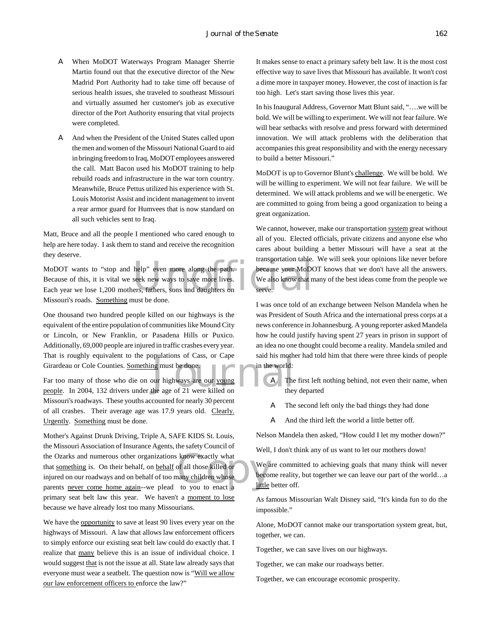- A When MoDOT Waterways Program Manager Sherrie Martin found out that the executive director of the New Madrid Port Authority had to take time off because of serious health issues, she traveled to southeast Missouri and virtually assumed her customer's job as executive director of the Port Authority ensuring that vital projects were completed.
- A And when the President of the United States called upon the men and women of the Missouri National Guard to aid in bringing freedom to Iraq, MoDOT employees answered the call. Matt Bacon used his MoDOT training to help rebuild roads and infrastructure in the war torn country. Meanwhile, Bruce Pettus utilized his experience with St. Louis Motorist Assist and incident management to invent a rear armor guard for Humvees that is now standard on all such vehicles sent to Iraq.

Matt, Bruce and all the people I mentioned who cared enough to help are here today. I ask them to stand and receive the recognition they deserve.

help" even more along the path.<br>
because your MoDC<br>
seek new ways to save more lives.<br>
We also know that m<br>
ers, fathers, sons and daughters on<br>
serve. MoDOT wants to "stop and help" even more along the path. Because of this, it is vital we seek new ways to save more lives. Each year we lose 1,200 mothers, fathers, sons and daughters on Missouri's roads. Something must be done.

One thousand two hundred people killed on our highways is the equivalent of the entire population of communities like Mound City or Lincoln, or New Franklin, or Pasadena Hills or Puxico. Additionally, 69,000 people are injured in traffic crashes every year. That is roughly equivalent to the populations of Cass, or Cape Girardeau or Cole Counties. Something must be done.

Finat is roughly equivalent to the populations of Cass, or Cape<br>Girardeau or Cole Counties. <u>Something</u> must be done.<br>Far too many of those who die on our highways are our <u>young</u><br>people. In 2004, 132 drivers under the age Far too many of those who die on our highways are our young Missouri's roadways. These youths accounted for nearly 30 percent of all crashes. Their average age was 17.9 years old. Clearly. Urgently. Something must be done.

know exactly what<br>
of all those killed or<br>
to you to enact a<br>
the become<br>
to you to enact a<br>
little Mother's Against Drunk Driving, Triple A, SAFE KIDS St. Louis, the Missouri Association of Insurance Agents, the safety Council of the Ozarks and numerous other organizations know exactly what that something is. On their behalf, on behalf of all those killed or injured on our roadways and on behalf of too many children whose parents never come home again--we plead to you to enact a primary seat belt law this year. We haven't a moment to lose because we have already lost too many Missourians.

We have the opportunity to save at least 90 lives every year on the highways of Missouri. A law that allows law enforcement officers to simply enforce our existing seat belt law could do exactly that. I realize that many believe this is an issue of individual choice. I would suggest that is not the issue at all. State law already says that everyone must wear a seatbelt. The question now is "Will we allow our law enforcement officers to enforce the law?"

It makes sense to enact a primary safety belt law. It is the most cost effective way to save lives that Missouri has available. It won't cost a dime more in taxpayer money. However, the cost of inaction is far too high. Let's start saving those lives this year.

In his Inaugural Address, Governor Matt Blunt said, "….we will be bold. We will be willing to experiment. We will not fear failure. We will bear setbacks with resolve and press forward with determined innovation. We will attack problems with the deliberation that accompanies this great responsibility and with the energy necessary to build a better Missouri."

MoDOT is up to Governor Blunt's challenge. We will be bold. We will be willing to experiment. We will not fear failure. We will be determined. We will attack problems and we will be energetic. We are committed to going from being a good organization to being a great organization.

We cannot, however, make our transportation system great without all of you. Elected officials, private citizens and anyone else who cares about building a better Missouri will have a seat at the transportation table. We will seek your opinions like never before because your MoDOT knows that we don't have all the answers. We also know that many of the best ideas come from the people we serve.

I was once told of an exchange between Nelson Mandela when he was President of South Africa and the international press corps at a news conference in Johannesburg. A young reporter asked Mandela how he could justify having spent 27 years in prison in support of an idea no one thought could become a reality. Mandela smiled and said his mother had told him that there were three kinds of people in the world:

- A The first left nothing behind, not even their name, when they departed
- A The second left only the bad things they had done
- A And the third left the world a little better off.

Nelson Mandela then asked, "How could I let my mother down?"

Well, I don't think any of us want to let our mothers down!

We are committed to achieving goals that many think will never become reality, but together we can leave our part of the world…a little better off.

As famous Missourian Walt Disney said, "It's kinda fun to do the impossible."

Alone, MoDOT cannot make our transportation system great, but, together, we can.

Together, we can save lives on our highways.

Together, we can make our roadways better.

Together, we can encourage economic prosperity.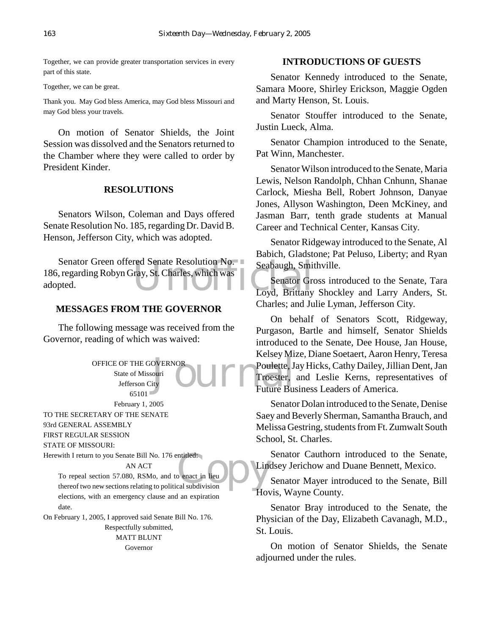Together, we can provide greater transportation services in every part of this state.

Together, we can be great.

Thank you. May God bless America, may God bless Missouri and may God bless your travels.

On motion of Senator Shields, the Joint Session was dissolved and the Senators returned to the Chamber where they were called to order by President Kinder.

# **RESOLUTIONS**

Senators Wilson, Coleman and Days offered Senate Resolution No. 185, regarding Dr. David B. Henson, Jefferson City, which was adopted.

red Senate Resolution No.<br>
1997, St. Charles, which was<br>
Loyd, Brittany Senator Green offered Senate Resolution No. 186, regarding Robyn Gray, St. Charles, which was adopted.

# **MESSAGES FROM THE GOVERNOR**

The following message was received from the Governor, reading of which was waived:

> OFFICE OF THE GOVERNOR State of Missouri Jefferson City 65101

February 1, 2005 TO THE SECRETARY OF THE SENATE

93rd GENERAL ASSEMBLY

FIRST REGULAR SESSION

STATE OF MISSOURI:

Herewith I return to you Senate Bill No. 176 entitled: AN ACT

ntitled:<br>
al subdivision To repeal section 57.080, RSMo, and to enact in lieu thereof two new sections relating to political subdivision elections, with an emergency clause and an expiration date.

On February 1, 2005, I approved said Senate Bill No. 176. Respectfully submitted, MATT BLUNT

Governor

# **INTRODUCTIONS OF GUESTS**

Senator Kennedy introduced to the Senate, Samara Moore, Shirley Erickson, Maggie Ogden and Marty Henson, St. Louis.

Senator Stouffer introduced to the Senate, Justin Lueck, Alma.

Senator Champion introduced to the Senate, Pat Winn, Manchester.

Senator Wilson introduced to the Senate, Maria Lewis, Nelson Randolph, Chhan Cnhunn, Shanae Carlock, Miesha Bell, Robert Johnson, Danyae Jones, Allyson Washington, Deen McKiney, and Jasman Barr, tenth grade students at Manual Career and Technical Center, Kansas City.

Senator Ridgeway introduced to the Senate, Al Babich, Gladstone; Pat Peluso, Liberty; and Ryan Seabaugh, Smithville.

Senator Gross introduced to the Senate, Tara Loyd, Brittany Shockley and Larry Anders, St. Charles; and Julie Lyman, Jefferson City.

ovERNOR<br>
ouri<br>
Ity Poulette, J<br>
Future Bus<br>
Future Bus On behalf of Senators Scott, Ridgeway, Purgason, Bartle and himself, Senator Shields introduced to the Senate, Dee House, Jan House, Kelsey Mize, Diane Soetaert, Aaron Henry, Teresa Poulette, Jay Hicks, Cathy Dailey, Jillian Dent, Jan Troester, and Leslie Kerns, representatives of Future Business Leaders of America.

> Senator Dolan introduced to the Senate, Denise Saey and Beverly Sherman, Samantha Brauch, and Melissa Gestring, students from Ft. Zumwalt South School, St. Charles.

> Senator Cauthorn introduced to the Senate, Lindsey Jerichow and Duane Bennett, Mexico.

> Senator Mayer introduced to the Senate, Bill Hovis, Wayne County.

> Senator Bray introduced to the Senate, the Physician of the Day, Elizabeth Cavanagh, M.D., St. Louis.

> On motion of Senator Shields, the Senate adjourned under the rules.